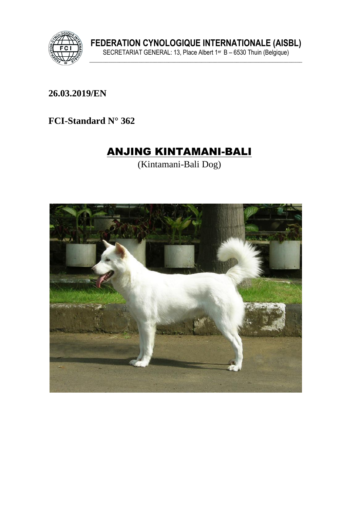

26.03.2019/EN

FCI-Standard N° 362

# **ANJING KINTAMANI-BALI**

(Kintamani-Bali Dog)

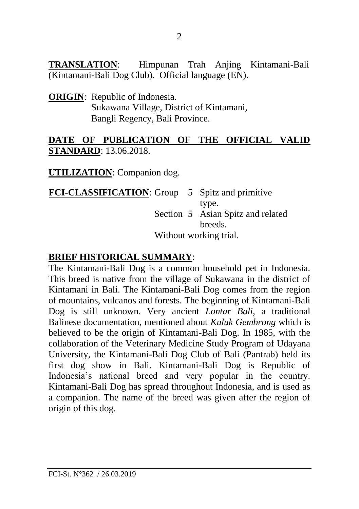**TRANSLATION**: Himpunan Trah Anjing Kintamani-Bali (Kintamani-Bali Dog Club). Official language (EN).

**ORIGIN**: Republic of Indonesia. Sukawana Village, District of Kintamani, Bangli Regency, Bali Province.

#### **DATE OF PUBLICATION OF THE OFFICIAL VALID STANDARD**: 13.06.2018.

**UTILIZATION**: Companion dog.

**FCI-CLASSIFICATION:** Group 5 Spitz and primitive type. Section 5 Asian Spitz and related breeds.

Without working trial.

### **BRIEF HISTORICAL SUMMARY**:

The Kintamani-Bali Dog is a common household pet in Indonesia. This breed is native from the village of Sukawana in the district of Kintamani in Bali. The Kintamani-Bali Dog comes from the region of mountains, vulcanos and forests. The beginning of Kintamani-Bali Dog is still unknown. Very ancient *Lontar Bali*, a traditional Balinese documentation, mentioned about *Kuluk Gembrong* which is believed to be the origin of Kintamani-Bali Dog. In 1985, with the collaboration of the Veterinary Medicine Study Program of Udayana University, the Kintamani-Bali Dog Club of Bali (Pantrab) held its first dog show in Bali. Kintamani-Bali Dog is Republic of Indonesia's national breed and very popular in the country. Kintamani-Bali Dog has spread throughout Indonesia, and is used as a companion. The name of the breed was given after the region of origin of this dog.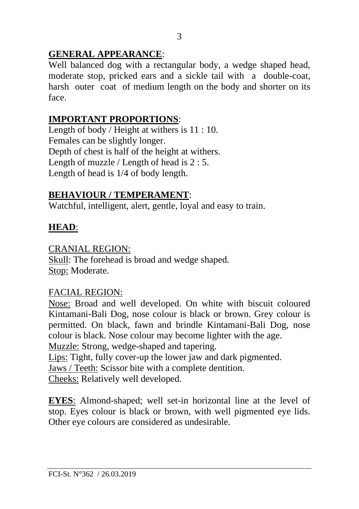# **GENERAL APPEARANCE**:

Well balanced dog with a rectangular body, a wedge shaped head, moderate stop, pricked ears and a sickle tail with a double-coat, harsh outer coat of medium length on the body and shorter on its face.

# **IMPORTANT PROPORTIONS**:

Length of body / Height at withers is 11 : 10. Females can be slightly longer. Depth of chest is half of the height at withers. Length of muzzle / Length of head is 2 : 5. Length of head is 1/4 of body length.

## **BEHAVIOUR / TEMPERAMENT**:

Watchful, intelligent, alert, gentle, loyal and easy to train.

### **HEAD**:

#### CRANIAL REGION:

Skull: The forehead is broad and wedge shaped. Stop: Moderate.

### FACIAL REGION:

Nose: Broad and well developed. On white with biscuit coloured Kintamani-Bali Dog, nose colour is black or brown. Grey colour is permitted. On black, fawn and brindle Kintamani-Bali Dog, nose colour is black. Nose colour may become lighter with the age.

Muzzle: Strong, wedge-shaped and tapering.

Lips: Tight, fully cover-up the lower jaw and dark pigmented.

Jaws / Teeth: Scissor bite with a complete dentition.

Cheeks: Relatively well developed.

**EYES**: Almond-shaped; well set-in horizontal line at the level of stop. Eyes colour is black or brown, with well pigmented eye lids. Other eye colours are considered as undesirable.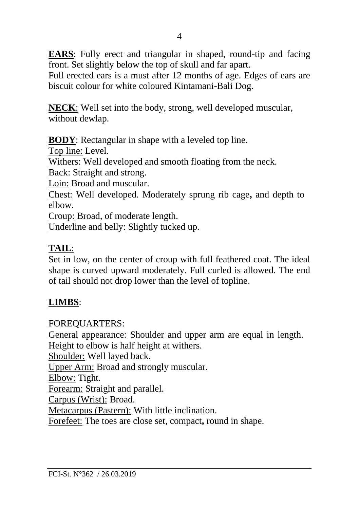**EARS**: Fully erect and triangular in shaped, round-tip and facing front. Set slightly below the top of skull and far apart.

Full erected ears is a must after 12 months of age. Edges of ears are biscuit colour for white coloured Kintamani-Bali Dog.

**NECK**: Well set into the body, strong, well developed muscular, without dewlap.

**BODY**: Rectangular in shape with a leveled top line.

Top line: Level.

Withers: Well developed and smooth floating from the neck.

Back: Straight and strong.

Loin: Broad and muscular.

Chest: Well developed. Moderately sprung rib cage**,** and depth to elbow.

Croup: Broad, of moderate length.

Underline and belly: Slightly tucked up.

# **TAIL**:

Set in low, on the center of croup with full feathered coat. The ideal shape is curved upward moderately. Full curled is allowed. The end of tail should not drop lower than the level of topline.

# **LIMBS**:

### FOREQUARTERS:

General appearance: Shoulder and upper arm are equal in length. Height to elbow is half height at withers. Shoulder: Well layed back. Upper Arm: Broad and strongly muscular. Elbow: Tight. Forearm: Straight and parallel. Carpus (Wrist): Broad. Metacarpus (Pastern): With little inclination. Forefeet: The toes are close set, compact**,** round in shape.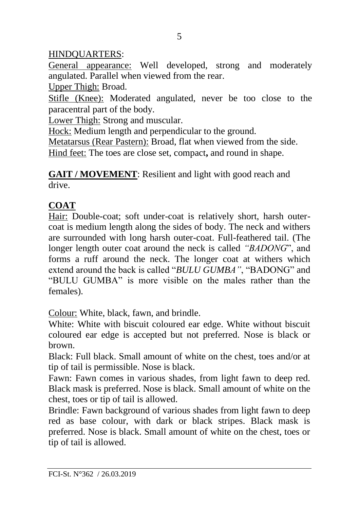# HINDQUARTERS:

General appearance: Well developed, strong and moderately angulated. Parallel when viewed from the rear.

Upper Thigh: Broad.

Stifle (Knee): Moderated angulated, never be too close to the paracentral part of the body.

Lower Thigh: Strong and muscular.

Hock: Medium length and perpendicular to the ground.

Metatarsus (Rear Pastern): Broad, flat when viewed from the side.

Hind feet: The toes are close set, compact**,** and round in shape.

**GAIT / MOVEMENT**: Resilient and light with good reach and drive.

# **COAT**

Hair: Double-coat; soft under-coat is relatively short, harsh outercoat is medium length along the sides of body. The neck and withers are surrounded with long harsh outer-coat. Full-feathered tail. (The longer length outer coat around the neck is called *"BADONG*", and forms a ruff around the neck. The longer coat at withers which extend around the back is called "*BULU GUMBA"*, "BADONG" and "BULU GUMBA" is more visible on the males rather than the females).

Colour: White, black, fawn, and brindle.

White: White with biscuit coloured ear edge. White without biscuit coloured ear edge is accepted but not preferred. Nose is black or brown.

Black: Full black. Small amount of white on the chest, toes and/or at tip of tail is permissible. Nose is black.

Fawn: Fawn comes in various shades, from light fawn to deep red. Black mask is preferred. Nose is black. Small amount of white on the chest, toes or tip of tail is allowed.

Brindle: Fawn background of various shades from light fawn to deep red as base colour, with dark or black stripes. Black mask is preferred. Nose is black. Small amount of white on the chest, toes or tip of tail is allowed.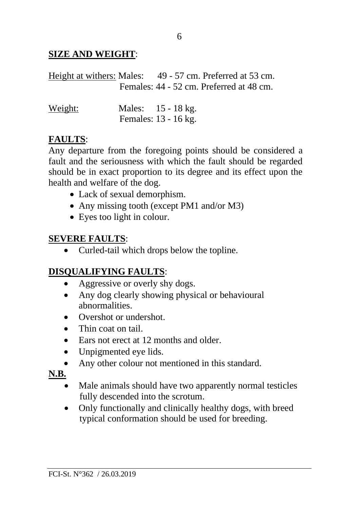### **SIZE AND WEIGHT**:

|  | Height at withers: Males: 49 - 57 cm. Preferred at 53 cm. |
|--|-----------------------------------------------------------|
|  | Females: 44 - 52 cm. Preferred at 48 cm.                  |
|  |                                                           |

| Weight: | Males: 15 - 18 kg.   |  |
|---------|----------------------|--|
|         | Females: 13 - 16 kg. |  |

#### **FAULTS**:

Any departure from the foregoing points should be considered a fault and the seriousness with which the fault should be regarded should be in exact proportion to its degree and its effect upon the health and welfare of the dog.

- Lack of sexual demorphism.
- Any missing tooth (except PM1 and/or M3)
- Eyes too light in colour.

### **SEVERE FAULTS**:

• Curled-tail which drops below the topline.

### **DISQUALIFYING FAULTS**:

- Aggressive or overly shy dogs.
- Any dog clearly showing physical or behavioural abnormalities.
- Overshot or undershot.
- Thin coat on tail
- Ears not erect at 12 months and older.
- Unpigmented eye lids.
- Any other colour not mentioned in this standard.

**N.B.**

- Male animals should have two apparently normal testicles fully descended into the scrotum.
- Only functionally and clinically healthy dogs, with breed typical conformation should be used for breeding.